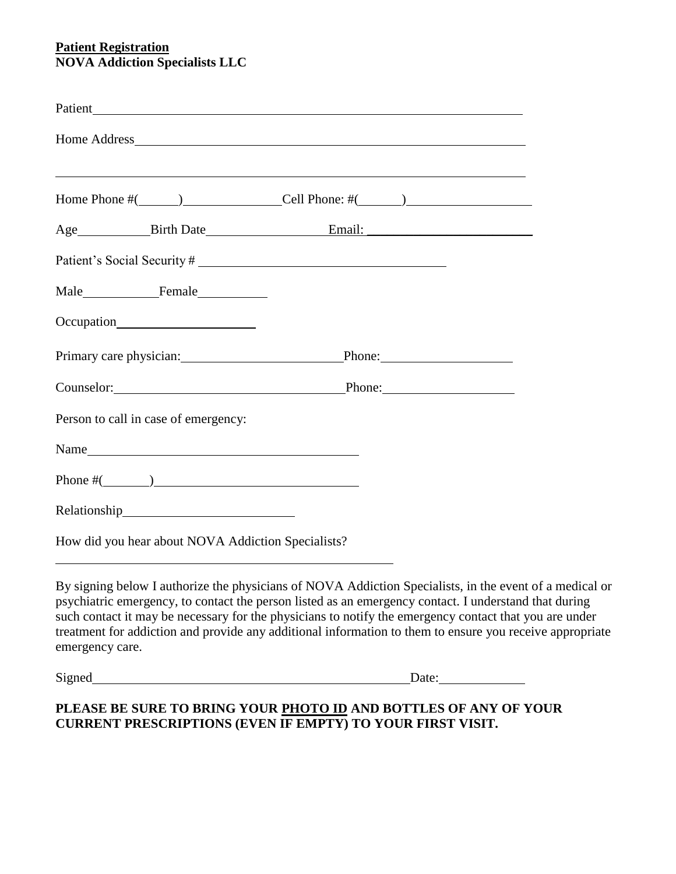#### **Patient Registration NOVA Addiction Specialists LLC**

|                                                    | Home Phone $\#($ $)$ $\qquad$ $\qquad$ $\qquad$ $\qquad$ $\qquad$ $\qquad$ $\qquad$ $\qquad$ $\qquad$ $\qquad$ $\qquad$ $\qquad$ $\qquad$ $\qquad$ $\qquad$ $\qquad$ $\qquad$ $\qquad$ $\qquad$ $\qquad$ $\qquad$ $\qquad$ $\qquad$ $\qquad$ $\qquad$ $\qquad$ $\qquad$ $\qquad$ $\qquad$ $\qquad$ $\qquad$ $\qquad$ $\qquad$ $\$ |
|----------------------------------------------------|-----------------------------------------------------------------------------------------------------------------------------------------------------------------------------------------------------------------------------------------------------------------------------------------------------------------------------------|
|                                                    | Age <b>Email: Email: Email: Email: Email: Email: Email: Email: Email: Email: Email: Email: Email: Email: Email: Email: Email: Email: Email: Email: Email: Email:</b>                                                                                                                                                              |
|                                                    |                                                                                                                                                                                                                                                                                                                                   |
|                                                    |                                                                                                                                                                                                                                                                                                                                   |
| Occupation                                         |                                                                                                                                                                                                                                                                                                                                   |
|                                                    | Primary care physician: Phone: Phone:                                                                                                                                                                                                                                                                                             |
|                                                    | Counselor: Phone: Phone:                                                                                                                                                                                                                                                                                                          |
| Person to call in case of emergency:               |                                                                                                                                                                                                                                                                                                                                   |
| Name                                               |                                                                                                                                                                                                                                                                                                                                   |
| Phone $\#$ ( $\qquad$ )                            |                                                                                                                                                                                                                                                                                                                                   |
|                                                    |                                                                                                                                                                                                                                                                                                                                   |
| How did you hear about NOVA Addiction Specialists? |                                                                                                                                                                                                                                                                                                                                   |

By signing below I authorize the physicians of NOVA Addiction Specialists, in the event of a medical or psychiatric emergency, to contact the person listed as an emergency contact. I understand that during such contact it may be necessary for the physicians to notify the emergency contact that you are under treatment for addiction and provide any additional information to them to ensure you receive appropriate emergency care.

Signed Date: Date:

## **PLEASE BE SURE TO BRING YOUR PHOTO ID AND BOTTLES OF ANY OF YOUR CURRENT PRESCRIPTIONS (EVEN IF EMPTY) TO YOUR FIRST VISIT.**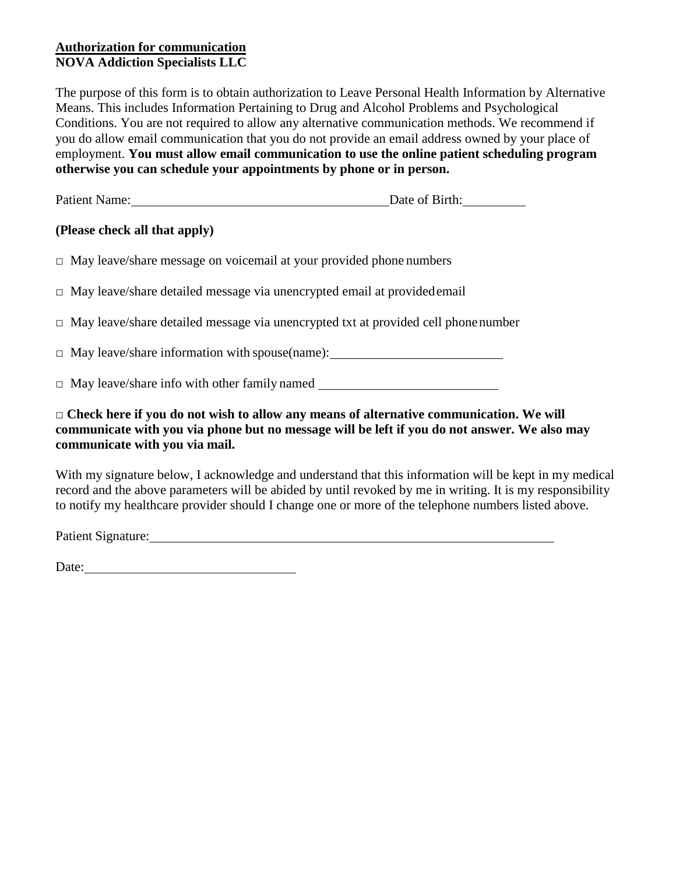## **Authorization for communication NOVA Addiction Specialists LLC**

The purpose of this form is to obtain authorization to Leave Personal Health Information by Alternative Means. This includes Information Pertaining to Drug and Alcohol Problems and Psychological Conditions. You are not required to allow any alternative communication methods. We recommend if you do allow email communication that you do not provide an email address owned by your place of employment. **You must allow email communication to use the online patient scheduling program otherwise you can schedule your appointments by phone or in person.**

| <b>Patient Name:</b> | Date of Birth: |
|----------------------|----------------|
|                      |                |

## **(Please check all that apply)**

**□** May leave/share message on voicemail at your provided phone numbers

**□** May leave/share detailed message via unencrypted email at providedemail

**□** May leave/share detailed message via unencrypted txt at provided cell phonenumber

**□** May leave/share information with spouse(name):

**□** May leave/share info with other family named

#### **□ Check here if you do not wish to allow any means of alternative communication. We will communicate with you via phone but no message will be left if you do not answer. We also may communicate with you via mail.**

With my signature below, I acknowledge and understand that this information will be kept in my medical record and the above parameters will be abided by until revoked by me in writing. It is my responsibility to notify my healthcare provider should I change one or more of the telephone numbers listed above.

Patient Signature: 1988 and 2008 and 2008 and 2008 and 2008 and 2008 and 2008 and 2008 and 2008 and 2008 and 2008 and 2008 and 2008 and 2008 and 2008 and 2008 and 2008 and 2008 and 2008 and 2008 and 2008 and 2008 and 2008

Date: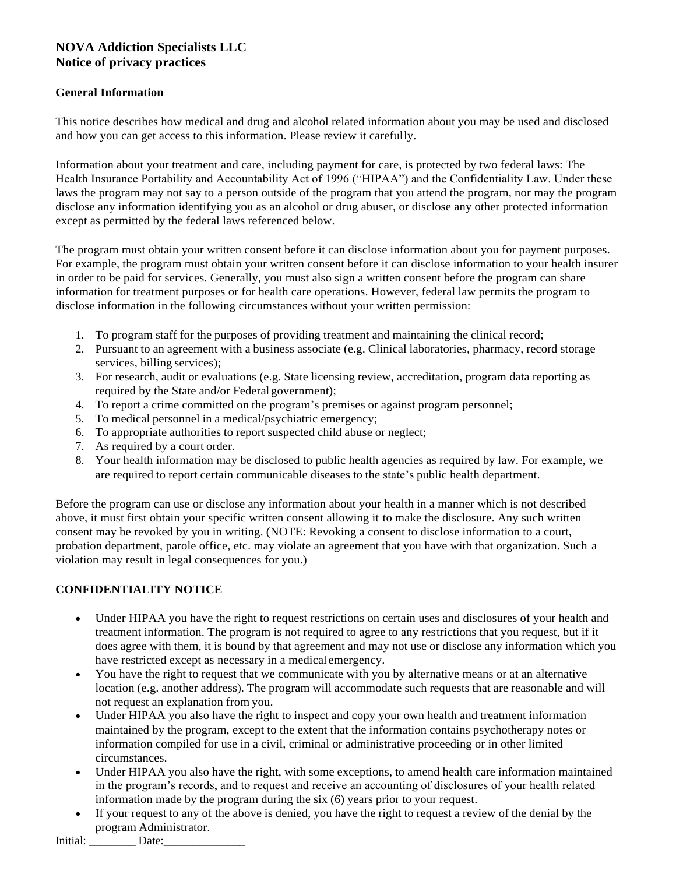## **NOVA Addiction Specialists LLC Notice of privacy practices**

#### **General Information**

This notice describes how medical and drug and alcohol related information about you may be used and disclosed and how you can get access to this information. Please review it carefully.

Information about your treatment and care, including payment for care, is protected by two federal laws: The Health Insurance Portability and Accountability Act of 1996 ("HIPAA") and the Confidentiality Law. Under these laws the program may not say to a person outside of the program that you attend the program, nor may the program disclose any information identifying you as an alcohol or drug abuser, or disclose any other protected information except as permitted by the federal laws referenced below.

The program must obtain your written consent before it can disclose information about you for payment purposes. For example, the program must obtain your written consent before it can disclose information to your health insurer in order to be paid for services. Generally, you must also sign a written consent before the program can share information for treatment purposes or for health care operations. However, federal law permits the program to disclose information in the following circumstances without your written permission:

- 1. To program staff for the purposes of providing treatment and maintaining the clinical record;
- 2. Pursuant to an agreement with a business associate (e.g. Clinical laboratories, pharmacy, record storage services, billing services);
- 3. For research, audit or evaluations (e.g. State licensing review, accreditation, program data reporting as required by the State and/or Federal government);
- 4. To report a crime committed on the program's premises or against program personnel;
- 5. To medical personnel in a medical/psychiatric emergency;
- 6. To appropriate authorities to report suspected child abuse or neglect;
- 7. As required by a court order.
- 8. Your health information may be disclosed to public health agencies as required by law. For example, we are required to report certain communicable diseases to the state's public health department.

Before the program can use or disclose any information about your health in a manner which is not described above, it must first obtain your specific written consent allowing it to make the disclosure. Any such written consent may be revoked by you in writing. (NOTE: Revoking a consent to disclose information to a court, probation department, parole office, etc. may violate an agreement that you have with that organization. Such a violation may result in legal consequences for you.)

#### **CONFIDENTIALITY NOTICE**

- Under HIPAA you have the right to request restrictions on certain uses and disclosures of your health and treatment information. The program is not required to agree to any restrictions that you request, but if it does agree with them, it is bound by that agreement and may not use or disclose any information which you have restricted except as necessary in a medical emergency.
- You have the right to request that we communicate with you by alternative means or at an alternative location (e.g. another address). The program will accommodate such requests that are reasonable and will not request an explanation from you.
- Under HIPAA you also have the right to inspect and copy your own health and treatment information maintained by the program, except to the extent that the information contains psychotherapy notes or information compiled for use in a civil, criminal or administrative proceeding or in other limited circumstances.
- Under HIPAA you also have the right, with some exceptions, to amend health care information maintained in the program's records, and to request and receive an accounting of disclosures of your health related information made by the program during the six (6) years prior to your request.
- If your request to any of the above is denied, you have the right to request a review of the denial by the program Administrator.

Initial: Date: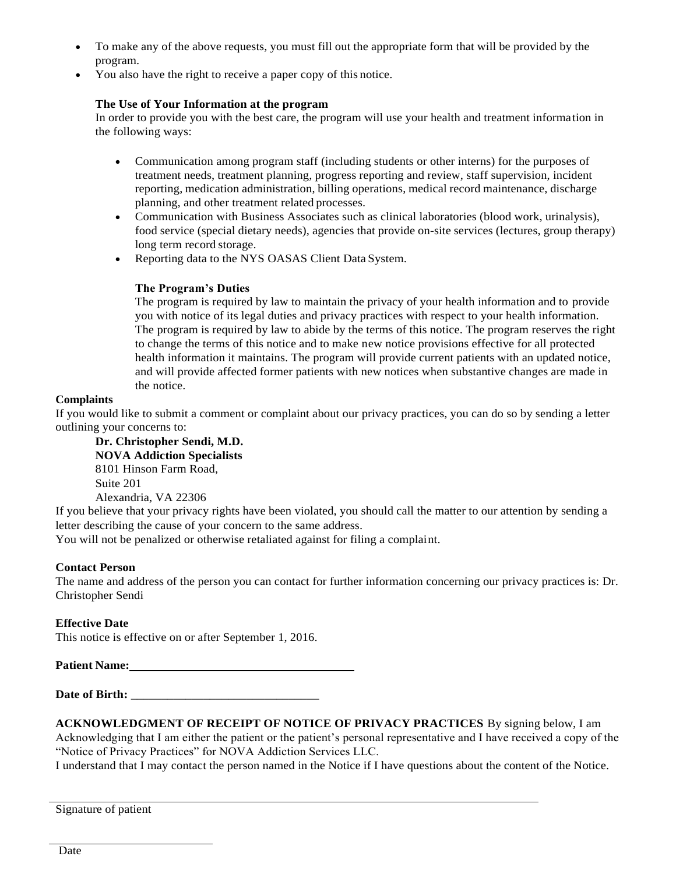- To make any of the above requests, you must fill out the appropriate form that will be provided by the program.
- You also have the right to receive a paper copy of this notice.

#### **The Use of Your Information at the program**

In order to provide you with the best care, the program will use your health and treatment information in the following ways:

- Communication among program staff (including students or other interns) for the purposes of treatment needs, treatment planning, progress reporting and review, staff supervision, incident reporting, medication administration, billing operations, medical record maintenance, discharge planning, and other treatment related processes.
- Communication with Business Associates such as clinical laboratories (blood work, urinalysis), food service (special dietary needs), agencies that provide on-site services (lectures, group therapy) long term record storage.
- Reporting data to the NYS OASAS Client Data System.

#### **The Program's Duties**

The program is required by law to maintain the privacy of your health information and to provide you with notice of its legal duties and privacy practices with respect to your health information. The program is required by law to abide by the terms of this notice. The program reserves the right to change the terms of this notice and to make new notice provisions effective for all protected health information it maintains. The program will provide current patients with an updated notice, and will provide affected former patients with new notices when substantive changes are made in the notice.

#### **Complaints**

If you would like to submit a comment or complaint about our privacy practices, you can do so by sending a letter outlining your concerns to:

**Dr. Christopher Sendi, M.D. NOVA Addiction Specialists**  8101 Hinson Farm Road, Suite 201 Alexandria, VA 22306

If you believe that your privacy rights have been violated, you should call the matter to our attention by sending a letter describing the cause of your concern to the same address.

You will not be penalized or otherwise retaliated against for filing a complaint.

#### **Contact Person**

The name and address of the person you can contact for further information concerning our privacy practices is: Dr. Christopher Sendi

#### **Effective Date**

This notice is effective on or after September 1, 2016.

**Patient Name:**

Date of Birth:

**ACKNOWLEDGMENT OF RECEIPT OF NOTICE OF PRIVACY PRACTICES** By signing below, I am Acknowledging that I am either the patient or the patient's personal representative and I have received a copy of the "Notice of Privacy Practices" for NOVA Addiction Services LLC.

I understand that I may contact the person named in the Notice if I have questions about the content of the Notice.

Signature of patient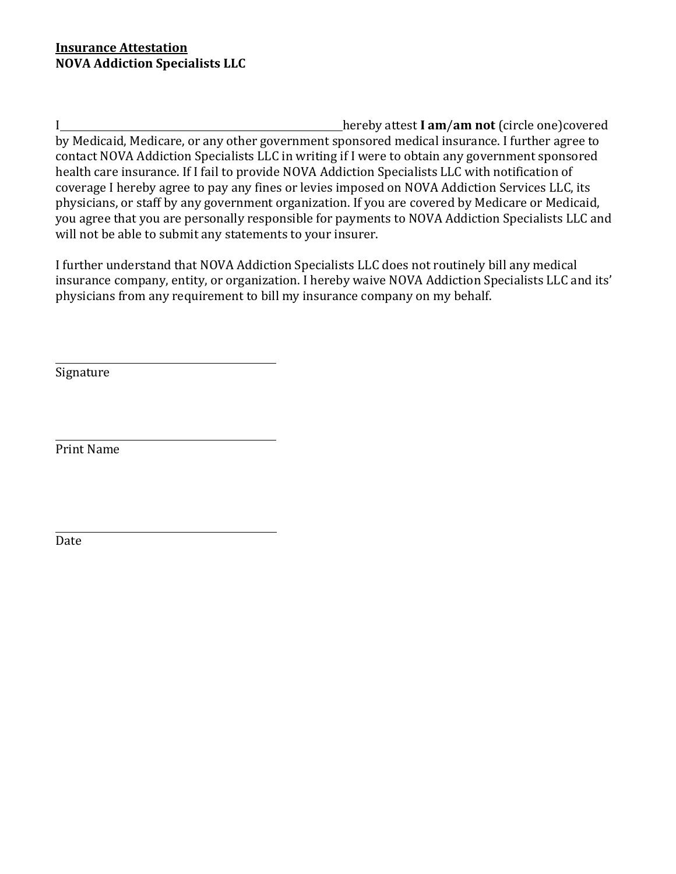I hereby attest **I am**/**am not** (circle one)covered by Medicaid, Medicare, or any other government sponsored medical insurance. I further agree to contact NOVA Addiction Specialists LLC in writing if I were to obtain any government sponsored health care insurance. If I fail to provide NOVA Addiction Specialists LLC with notification of coverage I hereby agree to pay any fines or levies imposed on NOVA Addiction Services LLC, its physicians, or staff by any government organization. If you are covered by Medicare or Medicaid, you agree that you are personally responsible for payments to NOVA Addiction Specialists LLC and will not be able to submit any statements to your insurer.

I further understand that NOVA Addiction Specialists LLC does not routinely bill any medical insurance company, entity, or organization. I hereby waive NOVA Addiction Specialists LLC and its' physicians from any requirement to bill my insurance company on my behalf.

Signature

Print Name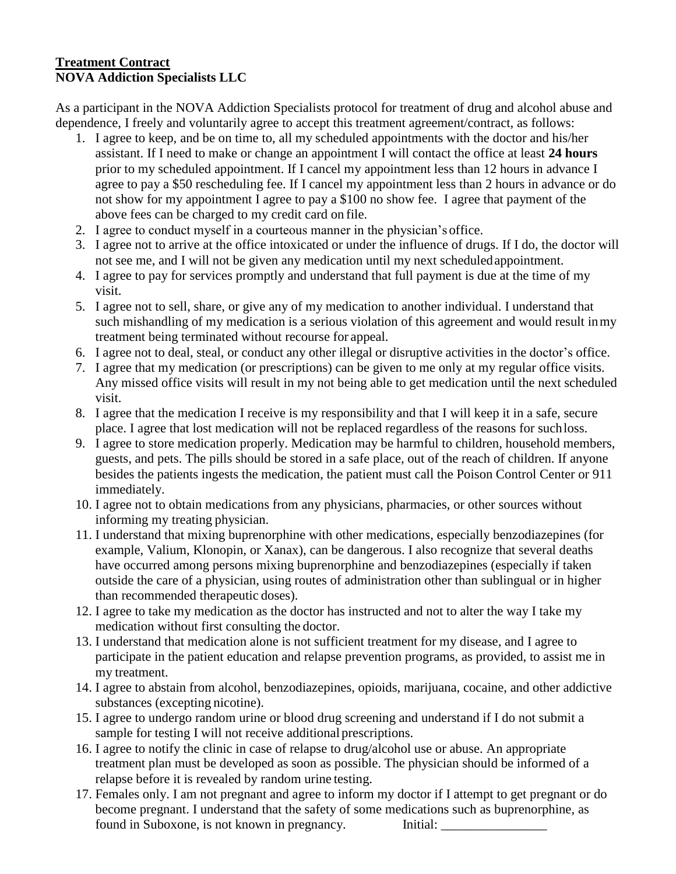### **Treatment Contract NOVA Addiction Specialists LLC**

As a participant in the NOVA Addiction Specialists protocol for treatment of drug and alcohol abuse and dependence, I freely and voluntarily agree to accept this treatment agreement/contract, as follows:

- 1. I agree to keep, and be on time to, all my scheduled appointments with the doctor and his/her assistant. If I need to make or change an appointment I will contact the office at least **24 hours**  prior to my scheduled appointment. If I cancel my appointment less than 12 hours in advance I agree to pay a \$50 rescheduling fee. If I cancel my appointment less than 2 hours in advance or do not show for my appointment I agree to pay a \$100 no show fee. I agree that payment of the above fees can be charged to my credit card on file.
- 2. I agree to conduct myself in a courteous manner in the physician's office.
- 3. I agree not to arrive at the office intoxicated or under the influence of drugs. If I do, the doctor will not see me, and I will not be given any medication until my next scheduledappointment.
- 4. I agree to pay for services promptly and understand that full payment is due at the time of my visit.
- 5. I agree not to sell, share, or give any of my medication to another individual. I understand that such mishandling of my medication is a serious violation of this agreement and would result inmy treatment being terminated without recourse for appeal.
- 6. I agree not to deal, steal, or conduct any other illegal or disruptive activities in the doctor's office.
- 7. I agree that my medication (or prescriptions) can be given to me only at my regular office visits. Any missed office visits will result in my not being able to get medication until the next scheduled visit.
- 8. I agree that the medication I receive is my responsibility and that I will keep it in a safe, secure place. I agree that lost medication will not be replaced regardless of the reasons for suchloss.
- 9. I agree to store medication properly. Medication may be harmful to children, household members, guests, and pets. The pills should be stored in a safe place, out of the reach of children. If anyone besides the patients ingests the medication, the patient must call the Poison Control Center or 911 immediately.
- 10. I agree not to obtain medications from any physicians, pharmacies, or other sources without informing my treating physician.
- 11. I understand that mixing buprenorphine with other medications, especially benzodiazepines (for example, Valium, Klonopin, or Xanax), can be dangerous. I also recognize that several deaths have occurred among persons mixing buprenorphine and benzodiazepines (especially if taken outside the care of a physician, using routes of administration other than sublingual or in higher than recommended therapeutic doses).
- 12. I agree to take my medication as the doctor has instructed and not to alter the way I take my medication without first consulting the doctor.
- 13. I understand that medication alone is not sufficient treatment for my disease, and I agree to participate in the patient education and relapse prevention programs, as provided, to assist me in my treatment.
- 14. I agree to abstain from alcohol, benzodiazepines, opioids, marijuana, cocaine, and other addictive substances (excepting nicotine).
- 15. I agree to undergo random urine or blood drug screening and understand if I do not submit a sample for testing I will not receive additional prescriptions.
- 16. I agree to notify the clinic in case of relapse to drug/alcohol use or abuse. An appropriate treatment plan must be developed as soon as possible. The physician should be informed of a relapse before it is revealed by random urine testing.
- 17. Females only. I am not pregnant and agree to inform my doctor if I attempt to get pregnant or do become pregnant. I understand that the safety of some medications such as buprenorphine, as found in Suboxone, is not known in pregnancy. Initial: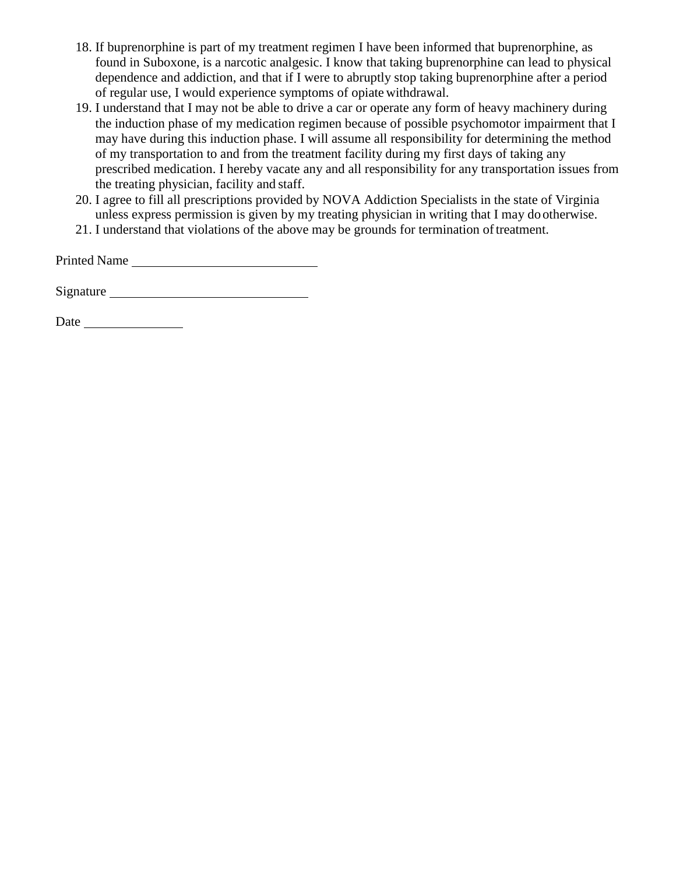- 18. If buprenorphine is part of my treatment regimen I have been informed that buprenorphine, as found in Suboxone, is a narcotic analgesic. I know that taking buprenorphine can lead to physical dependence and addiction, and that if I were to abruptly stop taking buprenorphine after a period of regular use, I would experience symptoms of opiate withdrawal.
- 19. I understand that I may not be able to drive a car or operate any form of heavy machinery during the induction phase of my medication regimen because of possible psychomotor impairment that I may have during this induction phase. I will assume all responsibility for determining the method of my transportation to and from the treatment facility during my first days of taking any prescribed medication. I hereby vacate any and all responsibility for any transportation issues from the treating physician, facility and staff.
- 20. I agree to fill all prescriptions provided by NOVA Addiction Specialists in the state of Virginia unless express permission is given by my treating physician in writing that I may do otherwise.
- 21. I understand that violations of the above may be grounds for termination oftreatment.

Printed Name

Signature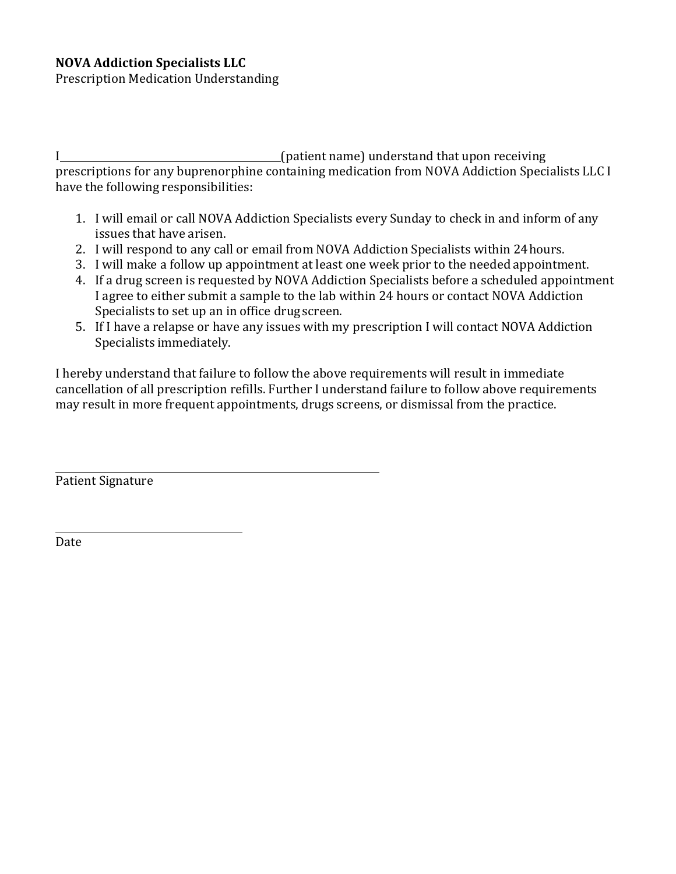Prescription Medication Understanding

I (patient name) understand that upon receiving prescriptions for any buprenorphine containing medication from NOVA Addiction Specialists LLC I have the following responsibilities:

- 1. I will email or call NOVA Addiction Specialists every Sunday to check in and inform of any issues that have arisen.
- 2. I will respond to any call or email from NOVA Addiction Specialists within 24hours.
- 3. I will make a follow up appointment at least one week prior to the needed appointment.
- 4. If a drug screen is requested by NOVA Addiction Specialists before a scheduled appointment I agree to either submit a sample to the lab within 24 hours or contact NOVA Addiction Specialists to set up an in office drug screen.
- 5. If I have a relapse or have any issues with my prescription I will contact NOVA Addiction Specialists immediately.

I hereby understand that failure to follow the above requirements will result in immediate cancellation of all prescription refills. Further I understand failure to follow above requirements may result in more frequent appointments, drugs screens, or dismissal from the practice.

Patient Signature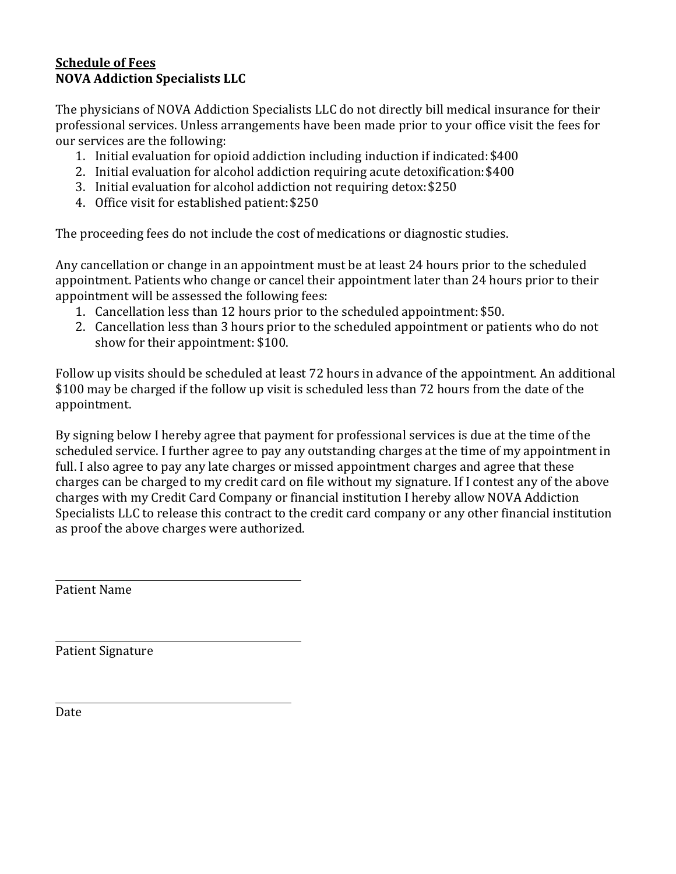## **Schedule of Fees NOVA Addiction Specialists LLC**

The physicians of NOVA Addiction Specialists LLC do not directly bill medical insurance for their professional services. Unless arrangements have been made prior to your office visit the fees for our services are the following:

- 1. Initial evaluation for opioid addiction including induction if indicated:\$400
- 2. Initial evaluation for alcohol addiction requiring acute detoxification:\$400
- 3. Initial evaluation for alcohol addiction not requiring detox:\$250
- 4. Office visit for established patient:\$250

The proceeding fees do not include the cost of medications or diagnostic studies.

Any cancellation or change in an appointment must be at least 24 hours prior to the scheduled appointment. Patients who change or cancel their appointment later than 24 hours prior to their appointment will be assessed the following fees:

- 1. Cancellation less than 12 hours prior to the scheduled appointment: \$50.
- 2. Cancellation less than 3 hours prior to the scheduled appointment or patients who do not show for their appointment: \$100.

Follow up visits should be scheduled at least 72 hours in advance of the appointment. An additional \$100 may be charged if the follow up visit is scheduled less than 72 hours from the date of the appointment.

By signing below I hereby agree that payment for professional services is due at the time of the scheduled service. I further agree to pay any outstanding charges at the time of my appointment in full. I also agree to pay any late charges or missed appointment charges and agree that these charges can be charged to my credit card on file without my signature. If I contest any of the above charges with my Credit Card Company or financial institution I hereby allow NOVA Addiction Specialists LLC to release this contract to the credit card company or any other financial institution as proof the above charges were authorized.

Patient Name

Patient Signature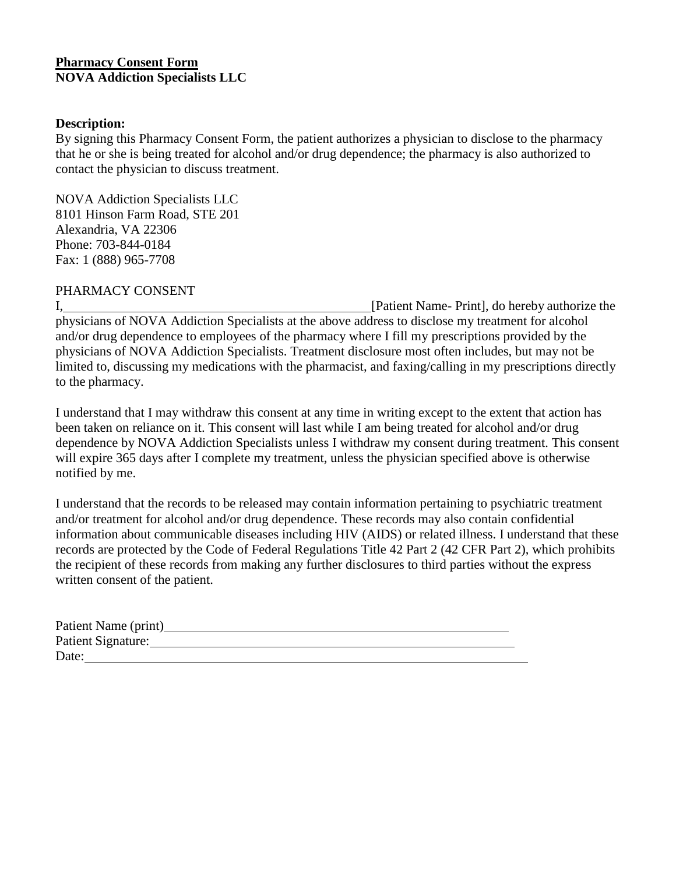## **Pharmacy Consent Form NOVA Addiction Specialists LLC**

#### **Description:**

By signing this Pharmacy Consent Form, the patient authorizes a physician to disclose to the pharmacy that he or she is being treated for alcohol and/or drug dependence; the pharmacy is also authorized to contact the physician to discuss treatment.

NOVA Addiction Specialists LLC 8101 Hinson Farm Road, STE 201 Alexandria, VA 22306 Phone: 703-844-0184 Fax: 1 (888) 965-7708

## PHARMACY CONSENT

I, **I** [Patient Name- Print], do hereby authorize the physicians of NOVA Addiction Specialists at the above address to disclose my treatment for alcohol and/or drug dependence to employees of the pharmacy where I fill my prescriptions provided by the physicians of NOVA Addiction Specialists. Treatment disclosure most often includes, but may not be limited to, discussing my medications with the pharmacist, and faxing/calling in my prescriptions directly to the pharmacy.

I understand that I may withdraw this consent at any time in writing except to the extent that action has been taken on reliance on it. This consent will last while I am being treated for alcohol and/or drug dependence by NOVA Addiction Specialists unless I withdraw my consent during treatment. This consent will expire 365 days after I complete my treatment, unless the physician specified above is otherwise notified by me.

I understand that the records to be released may contain information pertaining to psychiatric treatment and/or treatment for alcohol and/or drug dependence. These records may also contain confidential information about communicable diseases including HIV (AIDS) or related illness. I understand that these records are protected by the Code of Federal Regulations Title 42 Part 2 (42 CFR Part 2), which prohibits the recipient of these records from making any further disclosures to third parties without the express written consent of the patient.

| Patient Name (print)      |  |
|---------------------------|--|
| <b>Patient Signature:</b> |  |
| Date:                     |  |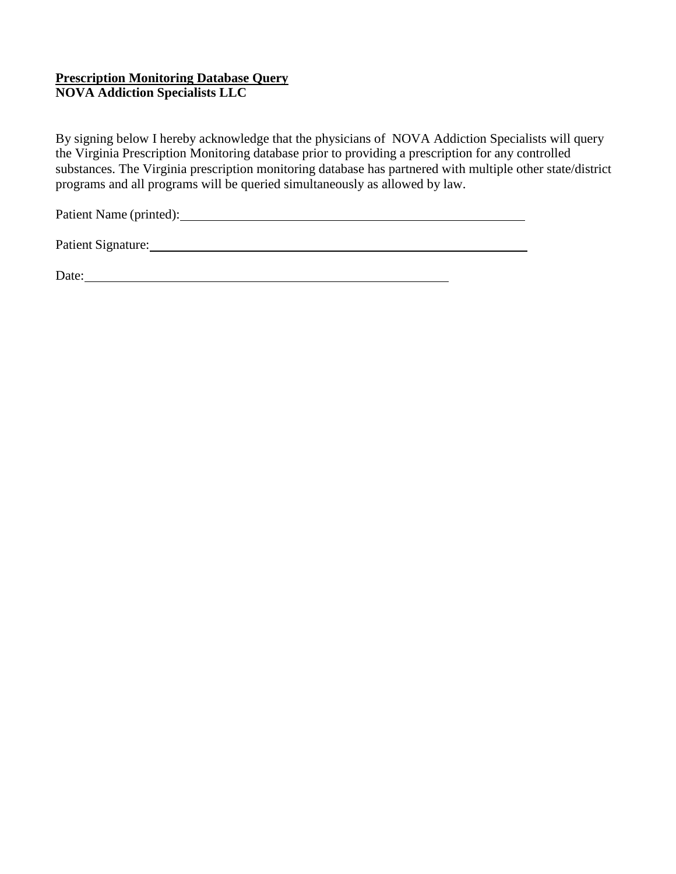## **Prescription Monitoring Database Query NOVA Addiction Specialists LLC**

By signing below I hereby acknowledge that the physicians of NOVA Addiction Specialists will query the Virginia Prescription Monitoring database prior to providing a prescription for any controlled substances. The Virginia prescription monitoring database has partnered with multiple other state/district programs and all programs will be queried simultaneously as allowed by law.

Patient Name (printed):

Patient Signature: 2002. [2013] Patient Signature:

Date: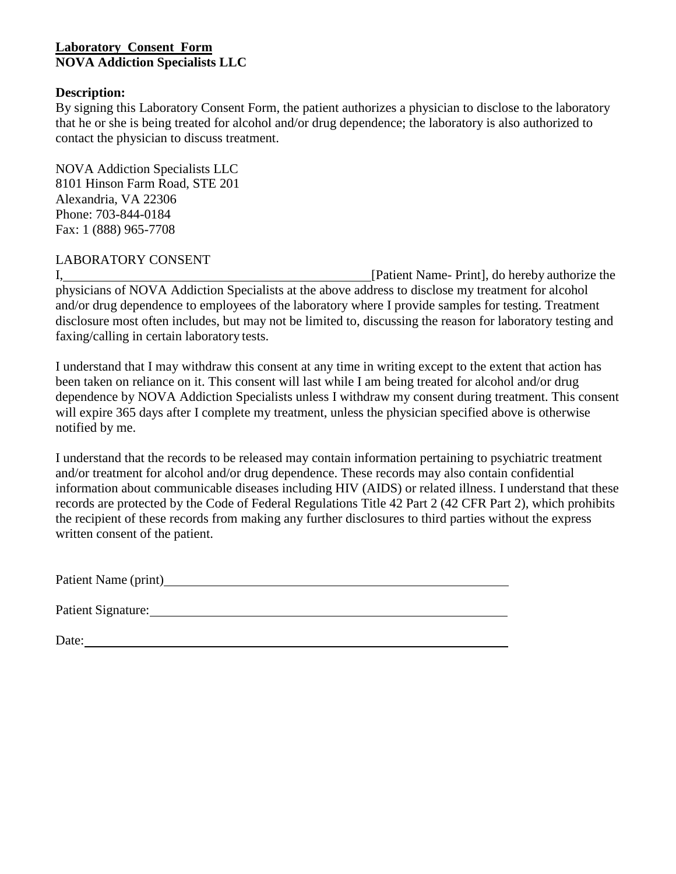## **Laboratory Consent Form NOVA Addiction Specialists LLC**

#### **Description:**

By signing this Laboratory Consent Form, the patient authorizes a physician to disclose to the laboratory that he or she is being treated for alcohol and/or drug dependence; the laboratory is also authorized to contact the physician to discuss treatment.

NOVA Addiction Specialists LLC 8101 Hinson Farm Road, STE 201 Alexandria, VA 22306 Phone: 703-844-0184 Fax: 1 (888) 965-7708

## LABORATORY CONSENT

I, 2008, [Patient Name- Print], do hereby authorize the physicians of NOVA Addiction Specialists at the above address to disclose my treatment for alcohol and/or drug dependence to employees of the laboratory where I provide samples for testing. Treatment disclosure most often includes, but may not be limited to, discussing the reason for laboratory testing and faxing/calling in certain laboratory tests.

I understand that I may withdraw this consent at any time in writing except to the extent that action has been taken on reliance on it. This consent will last while I am being treated for alcohol and/or drug dependence by NOVA Addiction Specialists unless I withdraw my consent during treatment. This consent will expire 365 days after I complete my treatment, unless the physician specified above is otherwise notified by me.

I understand that the records to be released may contain information pertaining to psychiatric treatment and/or treatment for alcohol and/or drug dependence. These records may also contain confidential information about communicable diseases including HIV (AIDS) or related illness. I understand that these records are protected by the Code of Federal Regulations Title 42 Part 2 (42 CFR Part 2), which prohibits the recipient of these records from making any further disclosures to third parties without the express written consent of the patient.

Patient Signature: 1988 and 2008 and 2008 and 2008 and 2008 and 2008 and 2008 and 2008 and 2008 and 2008 and 2008 and 2008 and 2008 and 2008 and 2008 and 2008 and 2008 and 2008 and 2008 and 2008 and 2008 and 2008 and 2008

Date: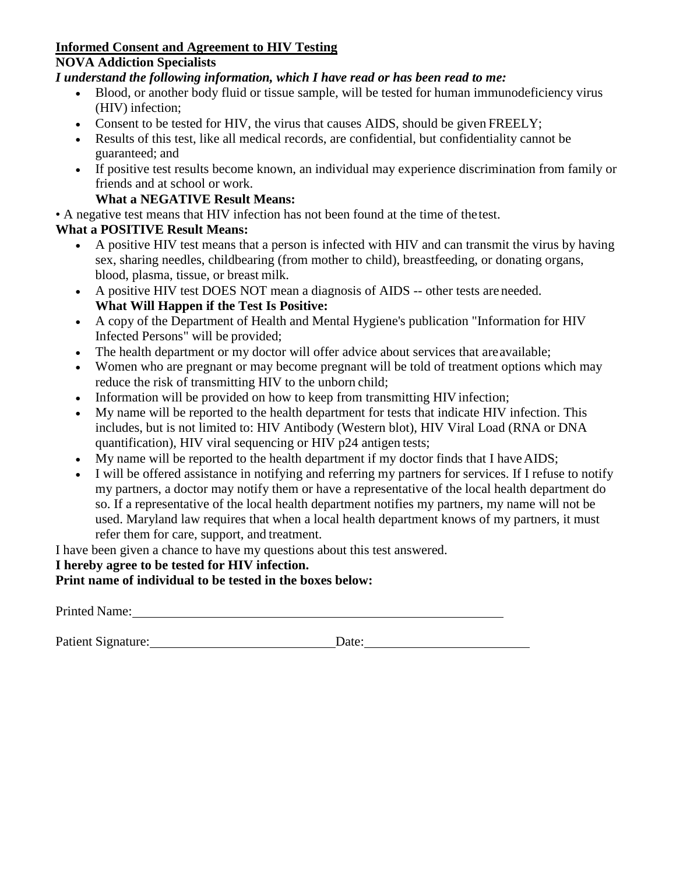# **Informed Consent and Agreement to HIV Testing**

## **NOVA Addiction Specialists**

## *I understand the following information, which I have read or has been read to me:*

- Blood, or another body fluid or tissue sample, will be tested for human immunodeficiency virus (HIV) infection;
- Consent to be tested for HIV, the virus that causes AIDS, should be given FREELY;
- Results of this test, like all medical records, are confidential, but confidentiality cannot be guaranteed; and
- If positive test results become known, an individual may experience discrimination from family or friends and at school or work.

# **What a NEGATIVE Result Means:**

• A negative test means that HIV infection has not been found at the time of the test.

# **What a POSITIVE Result Means:**

- A positive HIV test means that a person is infected with HIV and can transmit the virus by having sex, sharing needles, childbearing (from mother to child), breastfeeding, or donating organs, blood, plasma, tissue, or breast milk.
- A positive HIV test DOES NOT mean a diagnosis of AIDS -- other tests are needed. **What Will Happen if the Test Is Positive:**
- A copy of the Department of Health and Mental Hygiene's publication "Information for HIV Infected Persons" will be provided;
- The health department or my doctor will offer advice about services that areavailable;
- Women who are pregnant or may become pregnant will be told of treatment options which may reduce the risk of transmitting HIV to the unborn child;
- Information will be provided on how to keep from transmitting HIV infection;
- My name will be reported to the health department for tests that indicate HIV infection. This includes, but is not limited to: HIV Antibody (Western blot), HIV Viral Load (RNA or DNA quantification), HIV viral sequencing or HIV p24 antigen tests;
- My name will be reported to the health department if my doctor finds that I have AIDS;
- I will be offered assistance in notifying and referring my partners for services. If I refuse to notify my partners, a doctor may notify them or have a representative of the local health department do so. If a representative of the local health department notifies my partners, my name will not be used. Maryland law requires that when a local health department knows of my partners, it must refer them for care, support, and treatment.

I have been given a chance to have my questions about this test answered.

# **I hereby agree to be tested for HIV infection.**

**Print name of individual to be tested in the boxes below:**

Printed Name: Name: Name: Name: Name: Name: Name: Name: Name: Name: Name: Name: Name: Name: Name: Name: Name: Name: Name: Name: Name: Name: Name: Name: Name: Name: Name: Name: Name: Name: Name: Name: Name: Name: Name: Name

Patient Signature: Date: Date: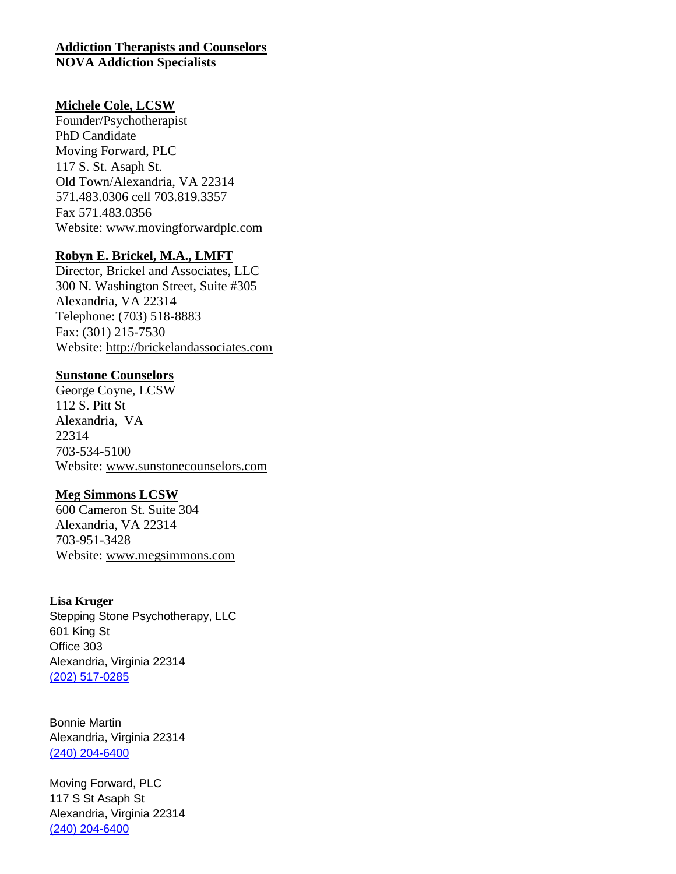#### **Addiction Therapists and Counselors NOVA Addiction Specialists**

#### **Michele Cole, LCSW**

Founder/Psychotherapist PhD Candidate Moving Forward, PLC 117 S. St. Asaph St. Old Town/Alexandria, VA 22314 571.483.0306 cell 703.819.3357 Fax 571.483.0356 Website: [www.movingforwardplc.com](http://www.movingforwardplc.com/)

#### **Robyn E. Brickel, M.A., LMFT**

Director, Brickel and Associates, LLC 300 N. Washington Street, Suite #305 Alexandria, VA 22314 Telephone: (703) 518-8883 Fax: (301) 215-7530 Website: [http://brickelandassociates.com](http://brickelandassociates.com/)

#### **Sunstone Counselors**

George Coyne, LCSW 112 S. Pitt St Alexandria, VA 22314 703-534-5100 Website: [www.sunstonecounselors.com](http://www.sunstonecounselors.com/)

#### **Meg Simmons LCSW**

600 Cameron St. Suite 304 Alexandria, VA 22314 703-951-3428 Website: [www.megsimmons.com](http://www.megsimmons.com/)

#### **Lisa Kruger**

Stepping Stone Psychotherapy, LLC 601 King St Office 303 Alexandria, Virginia 22314 (202) [517-0285](tel:+1-202-517-0285)

Bonnie Martin Alexandria, Virginia 22314 (240) [204-6400](tel:+1-240-204-6400)

Moving Forward, PLC 117 S St Asaph St Alexandria, Virginia 22314 (240) [204-6400](tel:+1-240-204-6400)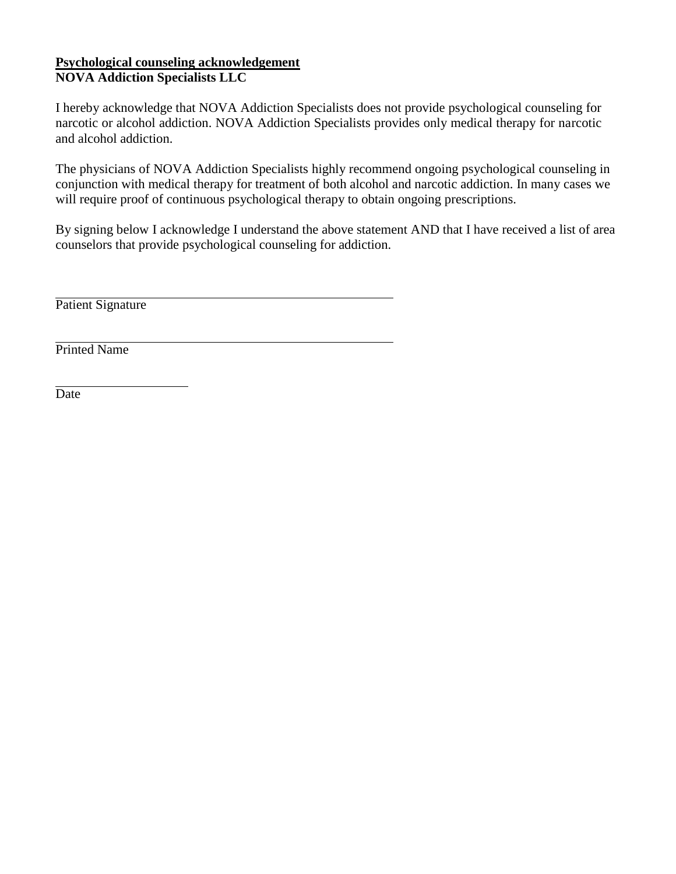## **Psychological counseling acknowledgement NOVA Addiction Specialists LLC**

I hereby acknowledge that NOVA Addiction Specialists does not provide psychological counseling for narcotic or alcohol addiction. NOVA Addiction Specialists provides only medical therapy for narcotic and alcohol addiction.

The physicians of NOVA Addiction Specialists highly recommend ongoing psychological counseling in conjunction with medical therapy for treatment of both alcohol and narcotic addiction. In many cases we will require proof of continuous psychological therapy to obtain ongoing prescriptions.

By signing below I acknowledge I understand the above statement AND that I have received a list of area counselors that provide psychological counseling for addiction.

Patient Signature

Printed Name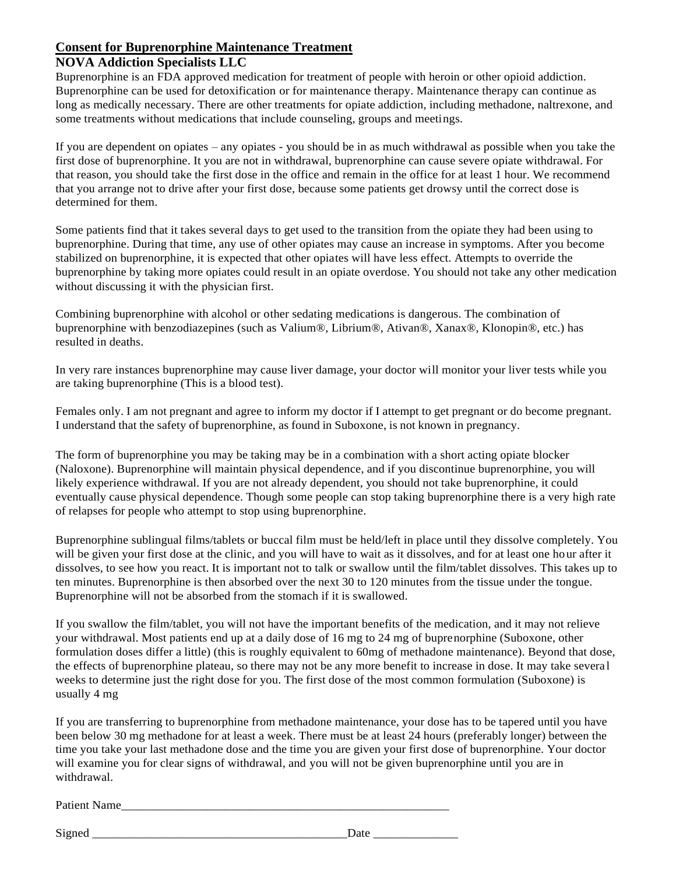# **Consent for Buprenorphine Maintenance Treatment**

# **NOVA Addiction Specialists LLC**

Buprenorphine is an FDA approved medication for treatment of people with heroin or other opioid addiction. Buprenorphine can be used for detoxification or for maintenance therapy. Maintenance therapy can continue as long as medically necessary. There are other treatments for opiate addiction, including methadone, naltrexone, and some treatments without medications that include counseling, groups and meetings.

If you are dependent on opiates – any opiates - you should be in as much withdrawal as possible when you take the first dose of buprenorphine. It you are not in withdrawal, buprenorphine can cause severe opiate withdrawal. For that reason, you should take the first dose in the office and remain in the office for at least 1 hour. We recommend that you arrange not to drive after your first dose, because some patients get drowsy until the correct dose is determined for them.

Some patients find that it takes several days to get used to the transition from the opiate they had been using to buprenorphine. During that time, any use of other opiates may cause an increase in symptoms. After you become stabilized on buprenorphine, it is expected that other opiates will have less effect. Attempts to override the buprenorphine by taking more opiates could result in an opiate overdose. You should not take any other medication without discussing it with the physician first.

Combining buprenorphine with alcohol or other sedating medications is dangerous. The combination of buprenorphine with benzodiazepines (such as Valium®, Librium®, Ativan®, Xanax®, Klonopin®, etc.) has resulted in deaths.

In very rare instances buprenorphine may cause liver damage, your doctor will monitor your liver tests while you are taking buprenorphine (This is a blood test).

Females only. I am not pregnant and agree to inform my doctor if I attempt to get pregnant or do become pregnant. I understand that the safety of buprenorphine, as found in Suboxone, is not known in pregnancy.

The form of buprenorphine you may be taking may be in a combination with a short acting opiate blocker (Naloxone). Buprenorphine will maintain physical dependence, and if you discontinue buprenorphine, you will likely experience withdrawal. If you are not already dependent, you should not take buprenorphine, it could eventually cause physical dependence. Though some people can stop taking buprenorphine there is a very high rate of relapses for people who attempt to stop using buprenorphine.

Buprenorphine sublingual films/tablets or buccal film must be held/left in place until they dissolve completely. You will be given your first dose at the clinic, and you will have to wait as it dissolves, and for at least one hour after it dissolves, to see how you react. It is important not to talk or swallow until the film/tablet dissolves. This takes up to ten minutes. Buprenorphine is then absorbed over the next 30 to 120 minutes from the tissue under the tongue. Buprenorphine will not be absorbed from the stomach if it is swallowed.

If you swallow the film/tablet, you will not have the important benefits of the medication, and it may not relieve your withdrawal. Most patients end up at a daily dose of 16 mg to 24 mg of buprenorphine (Suboxone, other formulation doses differ a little) (this is roughly equivalent to 60mg of methadone maintenance). Beyond that dose, the effects of buprenorphine plateau, so there may not be any more benefit to increase in dose. It may take severa l weeks to determine just the right dose for you. The first dose of the most common formulation (Suboxone) is usually 4 mg

If you are transferring to buprenorphine from methadone maintenance, your dose has to be tapered until you have been below 30 mg methadone for at least a week. There must be at least 24 hours (preferably longer) between the time you take your last methadone dose and the time you are given your first dose of buprenorphine. Your doctor will examine you for clear signs of withdrawal, and you will not be given buprenorphine until you are in withdrawal.

Patient Name\_\_\_\_\_\_\_\_\_\_\_\_\_\_\_\_\_\_\_\_\_\_\_\_\_\_\_\_\_\_\_\_\_\_\_\_\_\_\_\_\_\_\_\_\_\_\_\_\_\_\_\_\_\_

Signed Date Date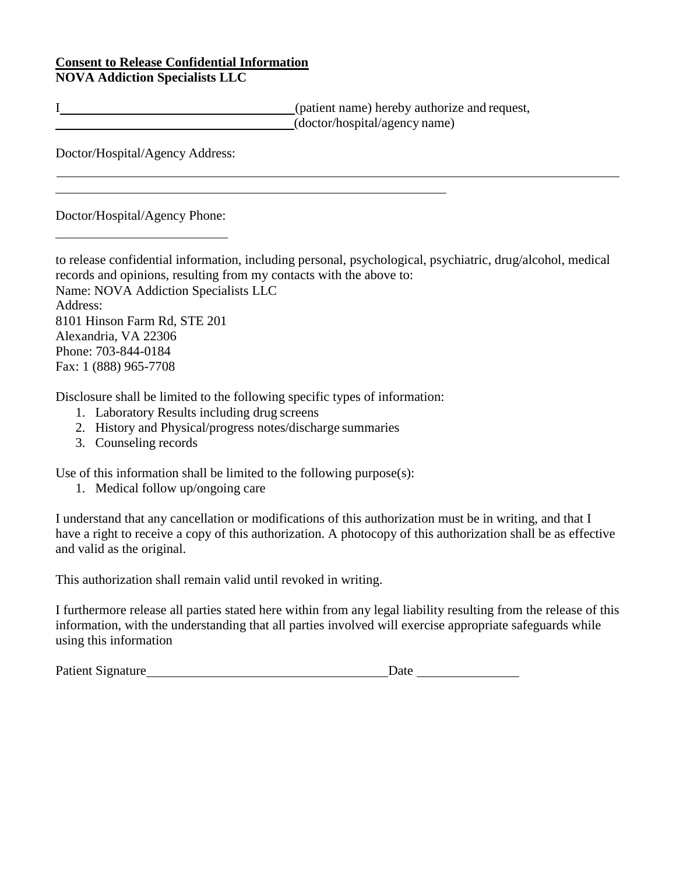#### **Consent to Release Confidential Information NOVA Addiction Specialists LLC**

I (patient name) hereby authorize and request, (doctor/hospital/agency name)

Doctor/Hospital/Agency Address:

Doctor/Hospital/Agency Phone:

to release confidential information, including personal, psychological, psychiatric, drug/alcohol, medical records and opinions, resulting from my contacts with the above to: Name: NOVA Addiction Specialists LLC Address: 8101 Hinson Farm Rd, STE 201 Alexandria, VA 22306 Phone: 703-844-0184 Fax: 1 (888) 965-7708

Disclosure shall be limited to the following specific types of information:

- 1. Laboratory Results including drug screens
- 2. History and Physical/progress notes/discharge summaries
- 3. Counseling records

Use of this information shall be limited to the following purpose(s):

1. Medical follow up/ongoing care

I understand that any cancellation or modifications of this authorization must be in writing, and that I have a right to receive a copy of this authorization. A photocopy of this authorization shall be as effective and valid as the original.

This authorization shall remain valid until revoked in writing.

I furthermore release all parties stated here within from any legal liability resulting from the release of this information, with the understanding that all parties involved will exercise appropriate safeguards while using this information

Patient Signature Date of the Date of the Date of the Date of the Date of the Date of the Date of the Date of the Date of the Date of the Date of the Date of the Date of the Date of the Date of the Date of the Date of the

| ate |  |
|-----|--|
|     |  |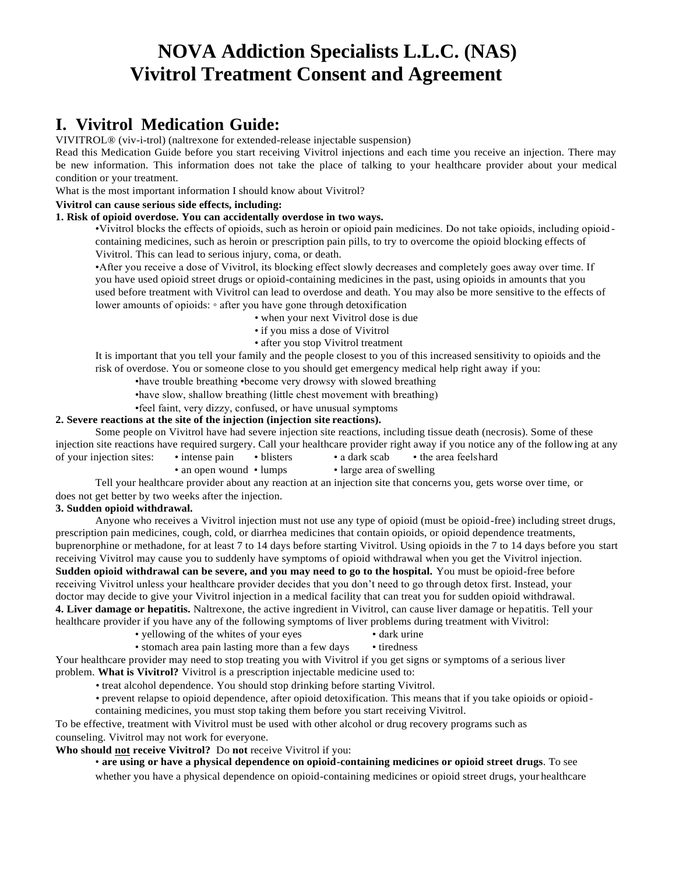# **NOVA Addiction Specialists L.L.C. (NAS) Vivitrol Treatment Consent and Agreement**

# **I. Vivitrol Medication Guide:**

VIVITROL® (viv-i-trol) (naltrexone for extended-release injectable suspension)

Read this Medication Guide before you start receiving Vivitrol injections and each time you receive an injection. There may be new information. This information does not take the place of talking to your healthcare provider about your medical condition or your treatment.

What is the most important information I should know about Vivitrol?

#### **Vivitrol can cause serious side effects, including:**

#### **1. Risk of opioid overdose. You can accidentally overdose in two ways.**

•Vivitrol blocks the effects of opioids, such as heroin or opioid pain medicines. Do not take opioids, including opioid containing medicines, such as heroin or prescription pain pills, to try to overcome the opioid blocking effects of Vivitrol. This can lead to serious injury, coma, or death.

•After you receive a dose of Vivitrol, its blocking effect slowly decreases and completely goes away over time. If you have used opioid street drugs or opioid-containing medicines in the past, using opioids in amounts that you used before treatment with Vivitrol can lead to overdose and death. You may also be more sensitive to the effects of lower amounts of opioids: ◦ after you have gone through detoxification

- when your next Vivitrol dose is due
- if you miss a dose of Vivitrol
- after you stop Vivitrol treatment

It is important that you tell your family and the people closest to you of this increased sensitivity to opioids and the risk of overdose. You or someone close to you should get emergency medical help right away if you:

•have trouble breathing •become very drowsy with slowed breathing

•have slow, shallow breathing (little chest movement with breathing)

•feel faint, very dizzy, confused, or have unusual symptoms

#### **2. Severe reactions at the site of the injection (injection site reactions).**

Some people on Vivitrol have had severe injection site reactions, including tissue death (necrosis). Some of these injection site reactions have required surgery. Call your healthcare provider right away if you notice any of the following at any of your injection sites: • intense pain • blisters • a dark scab • the area feelshard

- - an open wound lumps large area of swelling

Tell your healthcare provider about any reaction at an injection site that concerns you, gets worse over time, or does not get better by two weeks after the injection.

#### **3. Sudden opioid withdrawal.**

Anyone who receives a Vivitrol injection must not use any type of opioid (must be opioid-free) including street drugs, prescription pain medicines, cough, cold, or diarrhea medicines that contain opioids, or opioid dependence treatments, buprenorphine or methadone, for at least 7 to 14 days before starting Vivitrol. Using opioids in the 7 to 14 days before you start receiving Vivitrol may cause you to suddenly have symptoms of opioid withdrawal when you get the Vivitrol injection. **Sudden opioid withdrawal can be severe, and you may need to go to the hospital.** You must be opioid-free before receiving Vivitrol unless your healthcare provider decides that you don't need to go through detox first. Instead, your doctor may decide to give your Vivitrol injection in a medical facility that can treat you for sudden opioid withdrawal.

**4. Liver damage or hepatitis.** Naltrexone, the active ingredient in Vivitrol, can cause liver damage or hepatitis. Tell your healthcare provider if you have any of the following symptoms of liver problems during treatment with Vivitrol:

- yellowing of the whites of your eyes dark urine
- stomach area pain lasting more than a few days tiredness

Your healthcare provider may need to stop treating you with Vivitrol if you get signs or symptoms of a serious liver problem. **What is Vivitrol?** Vivitrol is a prescription injectable medicine used to:

• treat alcohol dependence. You should stop drinking before starting Vivitrol.

• prevent relapse to opioid dependence, after opioid detoxification. This means that if you take opioids or opioid -

containing medicines, you must stop taking them before you start receiving Vivitrol.

To be effective, treatment with Vivitrol must be used with other alcohol or drug recovery programs such as counseling. Vivitrol may not work for everyone.

**Who should not receive Vivitrol?** Do **not** receive Vivitrol if you:

• **are using or have a physical dependence on opioid-containing medicines or opioid street drugs**. To see

whether you have a physical dependence on opioid-containing medicines or opioid street drugs, your healthcare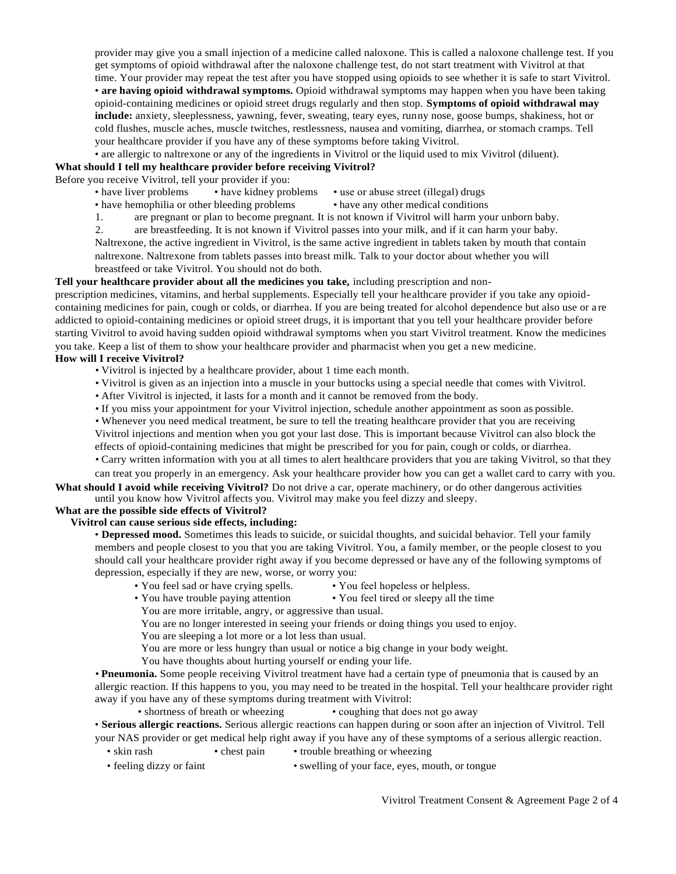provider may give you a small injection of a medicine called naloxone. This is called a naloxone challenge test. If you get symptoms of opioid withdrawal after the naloxone challenge test, do not start treatment with Vivitrol at that time. Your provider may repeat the test after you have stopped using opioids to see whether it is safe to start Vivitrol. • **are having opioid withdrawal symptoms.** Opioid withdrawal symptoms may happen when you have been taking opioid-containing medicines or opioid street drugs regularly and then stop. **Symptoms of opioid withdrawal may include:** anxiety, sleeplessness, yawning, fever, sweating, teary eyes, runny nose, goose bumps, shakiness, hot or cold flushes, muscle aches, muscle twitches, restlessness, nausea and vomiting, diarrhea, or stomach cramps. Tell your healthcare provider if you have any of these symptoms before taking Vivitrol.

• are allergic to naltrexone or any of the ingredients in Vivitrol or the liquid used to mix Vivitrol (diluent).

#### **What should I tell my healthcare provider before receiving Vivitrol?**

Before you receive Vivitrol, tell your provider if you:

- have liver problems have kidney problems use or abuse street (illegal) drugs
- have hemophilia or other bleeding problems have any other medical conditions
- 1. are pregnant or plan to become pregnant. It is not known if Vivitrol will harm your unborn baby.

2. are breastfeeding. It is not known if Vivitrol passes into your milk, and if it can harm your baby. Naltrexone, the active ingredient in Vivitrol, is the same active ingredient in tablets taken by mouth that contain naltrexone. Naltrexone from tablets passes into breast milk. Talk to your doctor about whether you will breastfeed or take Vivitrol. You should not do both.

#### **Tell your healthcare provider about all the medicines you take,** including prescription and non-

prescription medicines, vitamins, and herbal supplements. Especially tell your healthcare provider if you take any opioidcontaining medicines for pain, cough or colds, or diarrhea. If you are being treated for alcohol dependence but also use or a re addicted to opioid-containing medicines or opioid street drugs, it is important that you tell your healthcare provider before starting Vivitrol to avoid having sudden opioid withdrawal symptoms when you start Vivitrol treatment. Know the medicines you take. Keep a list of them to show your healthcare provider and pharmacist when you get a new medicine. **How will I receive Vivitrol?**

- Vivitrol is injected by a healthcare provider, about 1 time each month.
- Vivitrol is given as an injection into a muscle in your buttocks using a special needle that comes with Vivitrol.
- After Vivitrol is injected, it lasts for a month and it cannot be removed from the body.
- If you miss your appointment for your Vivitrol injection, schedule another appointment as soon as possible.
- Whenever you need medical treatment, be sure to tell the treating healthcare provider that you are receiving Vivitrol injections and mention when you got your last dose. This is important because Vivitrol can also block the

effects of opioid-containing medicines that might be prescribed for you for pain, cough or colds, or diarrhea.

• Carry written information with you at all times to alert healthcare providers that you are taking Vivitrol, so that they can treat you properly in an emergency. Ask your healthcare provider how you can get a wallet card to carry with you.

**What should I avoid while receiving Vivitrol?** Do not drive a car, operate machinery, or do other dangerous activities until you know how Vivitrol affects you. Vivitrol may make you feel dizzy and sleepy.

#### **What are the possible side effects of Vivitrol?**

#### **Vivitrol can cause serious side effects, including:**

• **Depressed mood.** Sometimes this leads to suicide, or suicidal thoughts, and suicidal behavior. Tell your family members and people closest to you that you are taking Vivitrol. You, a family member, or the people closest to you should call your healthcare provider right away if you become depressed or have any of the following symptoms of depression, especially if they are new, worse, or worry you:

- You feel sad or have crying spells. You feel hopeless or helpless.
	-
- You have trouble paying attention You feel tired or sleepy all the time
- You are more irritable, angry, or aggressive than usual.

You are no longer interested in seeing your friends or doing things you used to enjoy.

You are sleeping a lot more or a lot less than usual.

- You are more or less hungry than usual or notice a big change in your body weight.
- You have thoughts about hurting yourself or ending your life.

• **Pneumonia.** Some people receiving Vivitrol treatment have had a certain type of pneumonia that is caused by an allergic reaction. If this happens to you, you may need to be treated in the hospital. Tell your healthcare provider right away if you have any of these symptoms during treatment with Vivitrol:

• shortness of breath or wheezing • coughing that does not go away

• **Serious allergic reactions.** Serious allergic reactions can happen during or soon after an injection of Vivitrol. Tell your NAS provider or get medical help right away if you have any of these symptoms of a serious allergic reaction.

- skin rash chest pain trouble breathing or wheezing
- feeling dizzy or faint swelling of your face, eyes, mouth, or tongue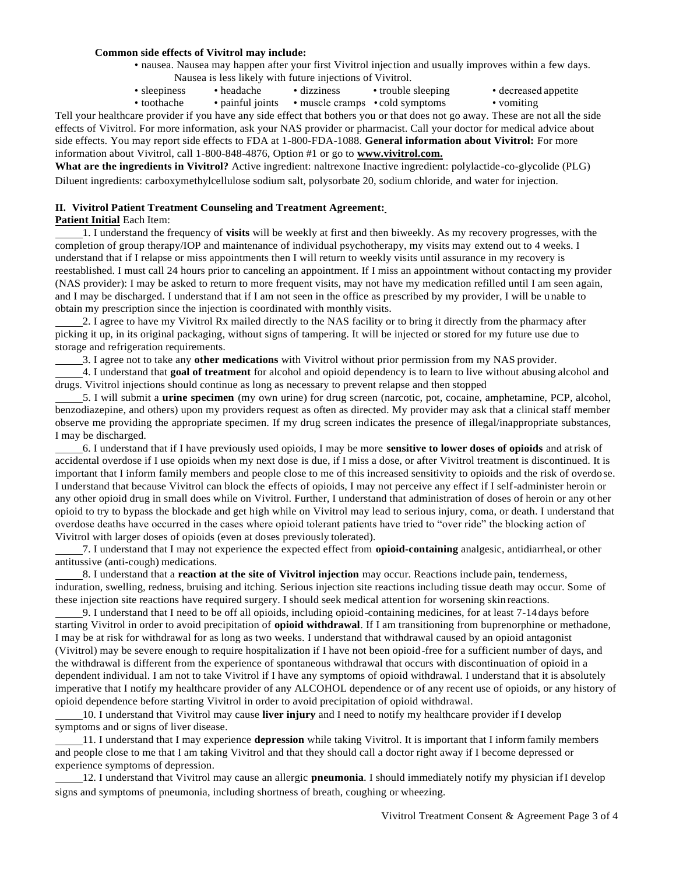#### **Common side effects of Vivitrol may include:**

- nausea. Nausea may happen after your first Vivitrol injection and usually improves within a few days. Nausea is less likely with future injections of Vivitrol.
- sleepiness headache dizziness trouble sleeping decreased appetite
- toothache painful joints muscle cramps cold symptoms vomiting

Tell your healthcare provider if you have any side effect that bothers you or that does not go away. These are not all the side effects of Vivitrol. For more information, ask your NAS provider or pharmacist. Call your doctor for medical advice about side effects. You may report side effects to FDA at 1-800-FDA-1088. **General information about Vivitrol:** For more information about Vivitrol, call 1-800-848-4876, Option #1 or go to **[www.vivitrol.com.](http://www.vivitrol.com/)**

**What are the ingredients in Vivitrol?** Active ingredient: naltrexone Inactive ingredient: polylactide-co-glycolide (PLG) Diluent ingredients: carboxymethylcellulose sodium salt, polysorbate 20, sodium chloride, and water for injection.

#### **II. Vivitrol Patient Treatment Counseling and Treatment Agreement:**

#### **Patient Initial** Each Item:

1. I understand the frequency of **visits** will be weekly at first and then biweekly. As my recovery progresses, with the completion of group therapy/IOP and maintenance of individual psychotherapy, my visits may extend out to 4 weeks. I understand that if I relapse or miss appointments then I will return to weekly visits until assurance in my recovery is reestablished. I must call 24 hours prior to canceling an appointment. If I miss an appointment without contacting my provider (NAS provider): I may be asked to return to more frequent visits, may not have my medication refilled until I am seen again, and I may be discharged. I understand that if I am not seen in the office as prescribed by my provider, I will be unable to obtain my prescription since the injection is coordinated with monthly visits.

2. I agree to have my Vivitrol Rx mailed directly to the NAS facility or to bring it directly from the pharmacy after picking it up, in its original packaging, without signs of tampering. It will be injected or stored for my future use due to storage and refrigeration requirements.

3. I agree not to take any **other medications** with Vivitrol without prior permission from my NAS provider.

4. I understand that **goal of treatment** for alcohol and opioid dependency is to learn to live without abusing alcohol and drugs. Vivitrol injections should continue as long as necessary to prevent relapse and then stopped

 5. I will submit a **urine specimen** (my own urine) for drug screen (narcotic, pot, cocaine, amphetamine, PCP, alcohol, benzodiazepine, and others) upon my providers request as often as directed. My provider may ask that a clinical staff member observe me providing the appropriate specimen. If my drug screen indicates the presence of illegal/inappropriate substances, I may be discharged.

6. I understand that if I have previously used opioids, I may be more **sensitive to lower doses of opioids** and atrisk of accidental overdose if I use opioids when my next dose is due, if I miss a dose, or after Vivitrol treatment is discontinued. It is important that I inform family members and people close to me of this increased sensitivity to opioids and the risk of overdo se. I understand that because Vivitrol can block the effects of opioids, I may not perceive any effect if I self-administer heroin or any other opioid drug in small does while on Vivitrol. Further, I understand that administration of doses of heroin or any ot her opioid to try to bypass the blockade and get high while on Vivitrol may lead to serious injury, coma, or death. I understand that overdose deaths have occurred in the cases where opioid tolerant patients have tried to "over ride" the blocking action of Vivitrol with larger doses of opioids (even at doses previously tolerated).

7. I understand that I may not experience the expected effect from **opioid-containing** analgesic, antidiarrheal, or other antitussive (anti-cough) medications.

8. I understand that a **reaction at the site of Vivitrol injection** may occur. Reactions include pain, tenderness, induration, swelling, redness, bruising and itching. Serious injection site reactions including tissue death may occur. Some of these injection site reactions have required surgery. I should seek medical attention for worsening skin reactions.

9. I understand that I need to be off all opioids, including opioid-containing medicines, for at least 7-14 days before starting Vivitrol in order to avoid precipitation of **opioid withdrawal**. If I am transitioning from buprenorphine or methadone, I may be at risk for withdrawal for as long as two weeks. I understand that withdrawal caused by an opioid antagonist (Vivitrol) may be severe enough to require hospitalization if I have not been opioid-free for a sufficient number of days, and the withdrawal is different from the experience of spontaneous withdrawal that occurs with discontinuation of opioid in a dependent individual. I am not to take Vivitrol if I have any symptoms of opioid withdrawal. I understand that it is absolutely imperative that I notify my healthcare provider of any ALCOHOL dependence or of any recent use of opioids, or any history of opioid dependence before starting Vivitrol in order to avoid precipitation of opioid withdrawal.

10. I understand that Vivitrol may cause **liver injury** and I need to notify my healthcare provider if I develop symptoms and or signs of liver disease.

11. I understand that I may experience **depression** while taking Vivitrol. It is important that I inform family members and people close to me that I am taking Vivitrol and that they should call a doctor right away if I become depressed or experience symptoms of depression.

12. I understand that Vivitrol may cause an allergic **pneumonia**. I should immediately notify my physician ifI develop signs and symptoms of pneumonia, including shortness of breath, coughing or wheezing.